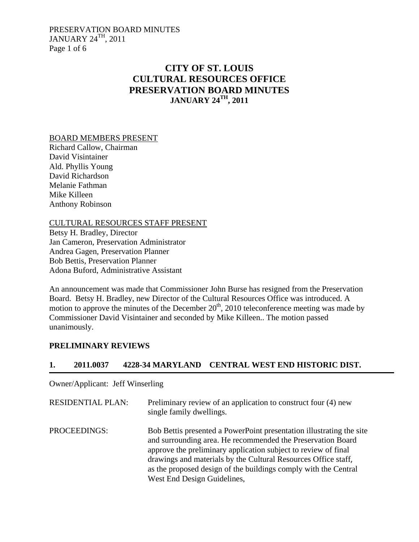PRESERVATION BOARD MINUTES JANUARY 24TH, 2011 Page 1 of 6

# **CITY OF ST. LOUIS CULTURAL RESOURCES OFFICE PRESERVATION BOARD MINUTES JANUARY 24TH, 2011**

#### BOARD MEMBERS PRESENT

Richard Callow, Chairman David Visintainer Ald. Phyllis Young David Richardson Melanie Fathman Mike Killeen Anthony Robinson

### CULTURAL RESOURCES STAFF PRESENT

Betsy H. Bradley, Director Jan Cameron, Preservation Administrator Andrea Gagen, Preservation Planner Bob Bettis, Preservation Planner Adona Buford, Administrative Assistant

An announcement was made that Commissioner John Burse has resigned from the Preservation Board. Betsy H. Bradley, new Director of the Cultural Resources Office was introduced. A motion to approve the minutes of the December  $20<sup>th</sup>$ , 2010 teleconference meeting was made by Commissioner David Visintainer and seconded by Mike Killeen.. The motion passed unanimously.

#### **PRELIMINARY REVIEWS**

### **1. 2011.0037 4228-34 MARYLAND CENTRAL WEST END HISTORIC DIST.**

Owner/Applicant: Jeff Winserling

| <b>RESIDENTIAL PLAN:</b> | Preliminary review of an application to construct four (4) new<br>single family dwellings.                                                                                                                                                                                                                                                                                |
|--------------------------|---------------------------------------------------------------------------------------------------------------------------------------------------------------------------------------------------------------------------------------------------------------------------------------------------------------------------------------------------------------------------|
| PROCEEDINGS:             | Bob Bettis presented a PowerPoint presentation illustrating the site<br>and surrounding area. He recommended the Preservation Board<br>approve the preliminary application subject to review of final<br>drawings and materials by the Cultural Resources Office staff,<br>as the proposed design of the buildings comply with the Central<br>West End Design Guidelines, |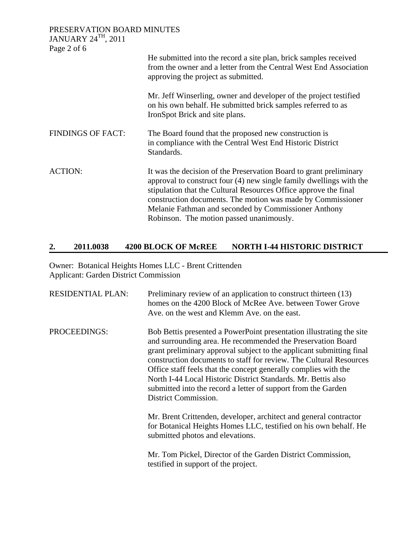| PRESERVATION BOARD MINUTES               |                                                                                                                                                                                                                                                                                                                                                                                  |
|------------------------------------------|----------------------------------------------------------------------------------------------------------------------------------------------------------------------------------------------------------------------------------------------------------------------------------------------------------------------------------------------------------------------------------|
| <b>JANUARY 24TH, 2011</b><br>Page 2 of 6 |                                                                                                                                                                                                                                                                                                                                                                                  |
|                                          | He submitted into the record a site plan, brick samples received<br>from the owner and a letter from the Central West End Association<br>approving the project as submitted.                                                                                                                                                                                                     |
|                                          | Mr. Jeff Winserling, owner and developer of the project testified<br>on his own behalf. He submitted brick samples referred to as<br>IronSpot Brick and site plans.                                                                                                                                                                                                              |
| <b>FINDINGS OF FACT:</b>                 | The Board found that the proposed new construction is<br>in compliance with the Central West End Historic District<br>Standards.                                                                                                                                                                                                                                                 |
| <b>ACTION:</b>                           | It was the decision of the Preservation Board to grant preliminary<br>approval to construct four (4) new single family dwellings with the<br>stipulation that the Cultural Resources Office approve the final<br>construction documents. The motion was made by Commissioner<br>Melanie Fathman and seconded by Commissioner Anthony<br>Robinson. The motion passed unanimously. |

### **2. 2011.0038 4200 BLOCK OF McREE NORTH I-44 HISTORIC DISTRICT**

Owner: Botanical Heights Homes LLC - Brent Crittenden Applicant: Garden District Commission

| <b>RESIDENTIAL PLAN:</b> | Preliminary review of an application to construct thirteen (13)<br>homes on the 4200 Block of McRee Ave, between Tower Grove<br>Ave, on the west and Klemm Ave, on the east.                                                                                                                                                                                                                                                                                                                                   |
|--------------------------|----------------------------------------------------------------------------------------------------------------------------------------------------------------------------------------------------------------------------------------------------------------------------------------------------------------------------------------------------------------------------------------------------------------------------------------------------------------------------------------------------------------|
| PROCEEDINGS:             | Bob Bettis presented a PowerPoint presentation illustrating the site<br>and surrounding area. He recommended the Preservation Board<br>grant preliminary approval subject to the applicant submitting final<br>construction documents to staff for review. The Cultural Resources<br>Office staff feels that the concept generally complies with the<br>North I-44 Local Historic District Standards, Mr. Bettis also<br>submitted into the record a letter of support from the Garden<br>District Commission. |
|                          | Mr. Brent Crittenden, developer, architect and general contractor<br>for Botanical Heights Homes LLC, testified on his own behalf. He<br>submitted photos and elevations.                                                                                                                                                                                                                                                                                                                                      |
|                          | Mr. Tom Pickel, Director of the Garden District Commission,<br>testified in support of the project.                                                                                                                                                                                                                                                                                                                                                                                                            |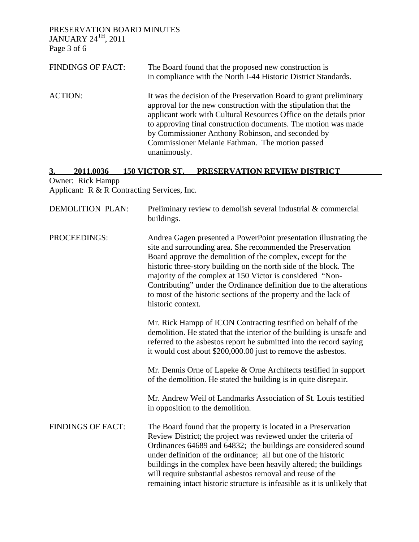PRESERVATION BOARD MINUTES JANUARY 24 $^{\rm TH}$ , 2011

Page 3 of 6

| <b>FINDINGS OF FACT:</b> | The Board found that the proposed new construction is<br>in compliance with the North I-44 Historic District Standards.                                                                                                                                                                                                                                                                               |
|--------------------------|-------------------------------------------------------------------------------------------------------------------------------------------------------------------------------------------------------------------------------------------------------------------------------------------------------------------------------------------------------------------------------------------------------|
| <b>ACTION:</b>           | It was the decision of the Preservation Board to grant preliminary<br>approval for the new construction with the stipulation that the<br>applicant work with Cultural Resources Office on the details prior<br>to approving final construction documents. The motion was made<br>by Commissioner Anthony Robinson, and seconded by<br>Commissioner Melanie Fathman. The motion passed<br>unanimously. |

### **3. 2011.0036 150 VICTOR ST. PRESERVATION REVIEW DISTRICT**  Owner: Rick Hampp

Applicant: R & R Contracting Services, Inc.

| <b>DEMOLITION PLAN:</b>  | Preliminary review to demolish several industrial & commercial<br>buildings.                                                                                                                                                                                                                                                                                                                                                                                                                      |
|--------------------------|---------------------------------------------------------------------------------------------------------------------------------------------------------------------------------------------------------------------------------------------------------------------------------------------------------------------------------------------------------------------------------------------------------------------------------------------------------------------------------------------------|
| PROCEEDINGS:             | Andrea Gagen presented a PowerPoint presentation illustrating the<br>site and surrounding area. She recommended the Preservation<br>Board approve the demolition of the complex, except for the<br>historic three-story building on the north side of the block. The<br>majority of the complex at 150 Victor is considered "Non-<br>Contributing" under the Ordinance definition due to the alterations<br>to most of the historic sections of the property and the lack of<br>historic context. |
|                          | Mr. Rick Hampp of ICON Contracting testified on behalf of the<br>demolition. He stated that the interior of the building is unsafe and<br>referred to the asbestos report he submitted into the record saying<br>it would cost about \$200,000.00 just to remove the asbestos.                                                                                                                                                                                                                    |
|                          | Mr. Dennis Orne of Lapeke & Orne Architects testified in support<br>of the demolition. He stated the building is in quite disrepair.                                                                                                                                                                                                                                                                                                                                                              |
|                          | Mr. Andrew Weil of Landmarks Association of St. Louis testified<br>in opposition to the demolition.                                                                                                                                                                                                                                                                                                                                                                                               |
| <b>FINDINGS OF FACT:</b> | The Board found that the property is located in a Preservation<br>Review District; the project was reviewed under the criteria of<br>Ordinances 64689 and 64832; the buildings are considered sound<br>under definition of the ordinance; all but one of the historic<br>buildings in the complex have been heavily altered; the buildings<br>will require substantial asbestos removal and reuse of the<br>remaining intact historic structure is infeasible as it is unlikely that              |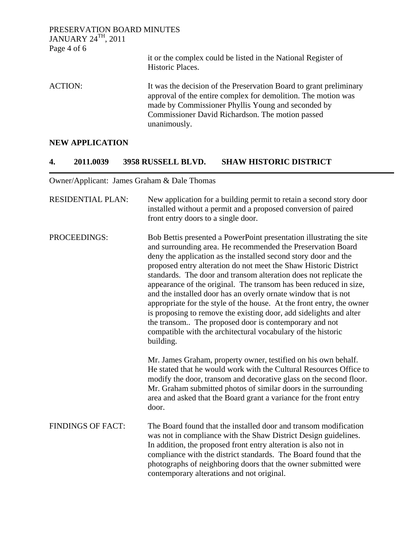| PRESERVATION BOARD MINUTES<br>JANUARY $24$ <sup>TH</sup> , 2011 |                                                                                                                                                                                                                                                               |
|-----------------------------------------------------------------|---------------------------------------------------------------------------------------------------------------------------------------------------------------------------------------------------------------------------------------------------------------|
| Page 4 of 6                                                     |                                                                                                                                                                                                                                                               |
|                                                                 | it or the complex could be listed in the National Register of<br>Historic Places.                                                                                                                                                                             |
| <b>ACTION:</b>                                                  | It was the decision of the Preservation Board to grant preliminary<br>approval of the entire complex for demolition. The motion was<br>made by Commissioner Phyllis Young and seconded by<br>Commissioner David Richardson. The motion passed<br>unanimously. |

# **NEW APPLICATION**

# **4. 2011.0039 3958 RUSSELL BLVD. SHAW HISTORIC DISTRICT**

Owner/Applicant: James Graham & Dale Thomas

| <b>RESIDENTIAL PLAN:</b> | New application for a building permit to retain a second story door<br>installed without a permit and a proposed conversion of paired<br>front entry doors to a single door.                                                                                                                                                                                                                                                                                                                                                                                                                                                                                                                                                                                                |
|--------------------------|-----------------------------------------------------------------------------------------------------------------------------------------------------------------------------------------------------------------------------------------------------------------------------------------------------------------------------------------------------------------------------------------------------------------------------------------------------------------------------------------------------------------------------------------------------------------------------------------------------------------------------------------------------------------------------------------------------------------------------------------------------------------------------|
| PROCEEDINGS:             | Bob Bettis presented a PowerPoint presentation illustrating the site<br>and surrounding area. He recommended the Preservation Board<br>deny the application as the installed second story door and the<br>proposed entry alteration do not meet the Shaw Historic District<br>standards. The door and transom alteration does not replicate the<br>appearance of the original. The transom has been reduced in size,<br>and the installed door has an overly ornate window that is not<br>appropriate for the style of the house. At the front entry, the owner<br>is proposing to remove the existing door, add sidelights and alter<br>the transom The proposed door is contemporary and not<br>compatible with the architectural vocabulary of the historic<br>building. |
|                          | Mr. James Graham, property owner, testified on his own behalf.<br>He stated that he would work with the Cultural Resources Office to<br>modify the door, transom and decorative glass on the second floor.<br>Mr. Graham submitted photos of similar doors in the surrounding<br>area and asked that the Board grant a variance for the front entry<br>door.                                                                                                                                                                                                                                                                                                                                                                                                                |
| <b>FINDINGS OF FACT:</b> | The Board found that the installed door and transom modification<br>was not in compliance with the Shaw District Design guidelines.<br>In addition, the proposed front entry alteration is also not in<br>compliance with the district standards. The Board found that the<br>photographs of neighboring doors that the owner submitted were<br>contemporary alterations and not original.                                                                                                                                                                                                                                                                                                                                                                                  |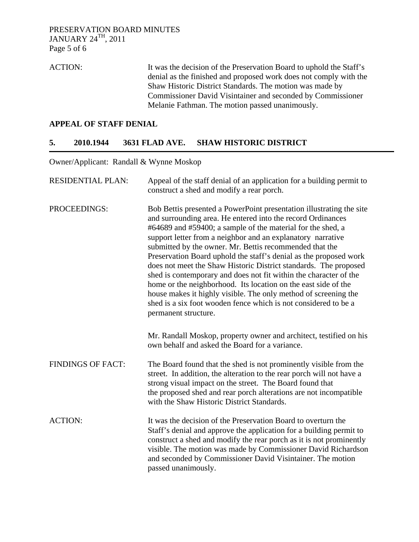ACTION: It was the decision of the Preservation Board to uphold the Staff's denial as the finished and proposed work does not comply with the Shaw Historic District Standards. The motion was made by Commissioner David Visintainer and seconded by Commissioner Melanie Fathman. The motion passed unanimously.

### **APPEAL OF STAFF DENIAL**

#### **5. 2010.1944 3631 FLAD AVE. SHAW HISTORIC DISTRICT**

Owner/Applicant: Randall & Wynne Moskop

| <b>RESIDENTIAL PLAN:</b> | Appeal of the staff denial of an application for a building permit to<br>construct a shed and modify a rear porch.                                                                                                                                                                                                                                                                                                                                                                                                                                                                                                                                                                                                                                                         |
|--------------------------|----------------------------------------------------------------------------------------------------------------------------------------------------------------------------------------------------------------------------------------------------------------------------------------------------------------------------------------------------------------------------------------------------------------------------------------------------------------------------------------------------------------------------------------------------------------------------------------------------------------------------------------------------------------------------------------------------------------------------------------------------------------------------|
| PROCEEDINGS:             | Bob Bettis presented a PowerPoint presentation illustrating the site<br>and surrounding area. He entered into the record Ordinances<br>#64689 and #59400; a sample of the material for the shed, a<br>support letter from a neighbor and an explanatory narrative<br>submitted by the owner. Mr. Bettis recommended that the<br>Preservation Board uphold the staff's denial as the proposed work<br>does not meet the Shaw Historic District standards. The proposed<br>shed is contemporary and does not fit within the character of the<br>home or the neighborhood. Its location on the east side of the<br>house makes it highly visible. The only method of screening the<br>shed is a six foot wooden fence which is not considered to be a<br>permanent structure. |
|                          | Mr. Randall Moskop, property owner and architect, testified on his<br>own behalf and asked the Board for a variance.                                                                                                                                                                                                                                                                                                                                                                                                                                                                                                                                                                                                                                                       |
| <b>FINDINGS OF FACT:</b> | The Board found that the shed is not prominently visible from the<br>street. In addition, the alteration to the rear porch will not have a<br>strong visual impact on the street. The Board found that<br>the proposed shed and rear porch alterations are not incompatible<br>with the Shaw Historic District Standards.                                                                                                                                                                                                                                                                                                                                                                                                                                                  |
| <b>ACTION:</b>           | It was the decision of the Preservation Board to overturn the<br>Staff's denial and approve the application for a building permit to<br>construct a shed and modify the rear porch as it is not prominently<br>visible. The motion was made by Commissioner David Richardson<br>and seconded by Commissioner David Visintainer. The motion<br>passed unanimously.                                                                                                                                                                                                                                                                                                                                                                                                          |